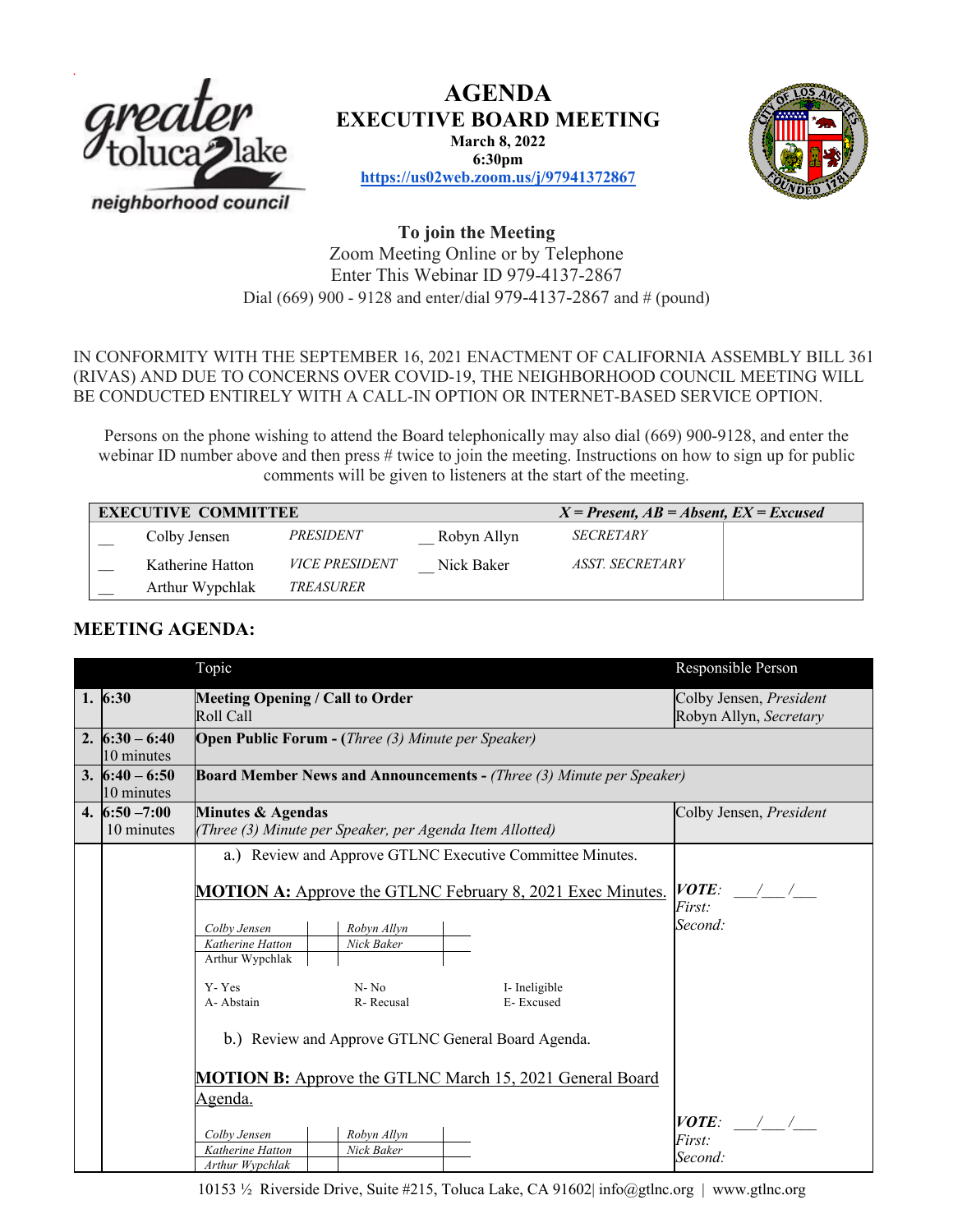

**AGENDA EXECUTIVE BOARD MEETING March 8, 2022 6:30pm**





**https://us02web.zoom.us/j/97941372867**

## **To join the Meeting** Zoom Meeting Online or by Telephone Enter This Webinar ID 979-4137-2867 Dial (669) 900 - 9128 and enter/dial 979-4137-2867 and # (pound)

### IN CONFORMITY WITH THE SEPTEMBER 16, 2021 ENACTMENT OF CALIFORNIA ASSEMBLY BILL 361 (RIVAS) AND DUE TO CONCERNS OVER COVID-19, THE NEIGHBORHOOD COUNCIL MEETING WILL BE CONDUCTED ENTIRELY WITH A CALL-IN OPTION OR INTERNET-BASED SERVICE OPTION.

Persons on the phone wishing to attend the Board telephonically may also dial (669) 900-9128, and enter the webinar ID number above and then press # twice to join the meeting. Instructions on how to sign up for public comments will be given to listeners at the start of the meeting.

| <b>EXECUTIVE COMMITTEE</b> |                  |                         |             | $X = Present, AB = Absent, EX = Excused$ |  |  |
|----------------------------|------------------|-------------------------|-------------|------------------------------------------|--|--|
|                            | Colby Jensen     | <i><b>PRESIDENT</b></i> | Robyn Allyn | <b>SECRETARY</b>                         |  |  |
|                            | Katherine Hatton | <b>VICE PRESIDENT</b>   | Nick Baker  | <i><b>ASST. SECRETARY</b></i>            |  |  |
|                            | Arthur Wypchlak  | <i>TREASURER</i>        |             |                                          |  |  |

# **MEETING AGENDA:**

|                  | Topic                                                                       | Responsible Person                                |  |  |  |  |  |
|------------------|-----------------------------------------------------------------------------|---------------------------------------------------|--|--|--|--|--|
| 1.6:30           | <b>Meeting Opening / Call to Order</b><br>Roll Call                         | Colby Jensen, President<br>Robyn Allyn, Secretary |  |  |  |  |  |
| 2. $6:30 - 6:40$ | <b>Open Public Forum - (Three (3) Minute per Speaker)</b>                   |                                                   |  |  |  |  |  |
| 10 minutes       |                                                                             |                                                   |  |  |  |  |  |
| 3. $6:40 - 6:50$ | <b>Board Member News and Announcements - (Three (3) Minute per Speaker)</b> |                                                   |  |  |  |  |  |
| 10 minutes       |                                                                             |                                                   |  |  |  |  |  |
| 4. $6:50 - 7:00$ | <b>Minutes &amp; Agendas</b>                                                | Colby Jensen, President                           |  |  |  |  |  |
| 10 minutes       | (Three (3) Minute per Speaker, per Agenda Item Allotted)                    |                                                   |  |  |  |  |  |
|                  | a.) Review and Approve GTLNC Executive Committee Minutes.                   |                                                   |  |  |  |  |  |
|                  |                                                                             |                                                   |  |  |  |  |  |
|                  | <b>MOTION A:</b> Approve the GTLNC February 8, 2021 Exec Minutes.           | $VOTE:$ / /                                       |  |  |  |  |  |
|                  |                                                                             | First:                                            |  |  |  |  |  |
|                  | Colby Jensen<br>Robyn Allyn                                                 | Second:                                           |  |  |  |  |  |
|                  | Katherine Hatton<br>Nick Baker                                              |                                                   |  |  |  |  |  |
|                  | Arthur Wypchlak                                                             |                                                   |  |  |  |  |  |
|                  | Y-Yes<br>$N - No$<br>I- Ineligible                                          |                                                   |  |  |  |  |  |
|                  | A-Abstain<br>R-Recusal<br>E-Excused                                         |                                                   |  |  |  |  |  |
|                  |                                                                             |                                                   |  |  |  |  |  |
|                  | b.) Review and Approve GTLNC General Board Agenda.                          |                                                   |  |  |  |  |  |
|                  |                                                                             |                                                   |  |  |  |  |  |
|                  | <b>MOTION B:</b> Approve the GTLNC March 15, 2021 General Board             |                                                   |  |  |  |  |  |
|                  | Agenda.                                                                     |                                                   |  |  |  |  |  |
|                  |                                                                             | $VOTE:$ / /                                       |  |  |  |  |  |
|                  | Colby Jensen<br>Robyn Allyn                                                 | First:                                            |  |  |  |  |  |
|                  | Katherine Hatton<br>Nick Baker                                              | Second:                                           |  |  |  |  |  |
|                  | Arthur Wypchlak                                                             |                                                   |  |  |  |  |  |

10153 ½ Riverside Drive, Suite #215, Toluca Lake, CA 91602| info@gtlnc.org | www.gtlnc.org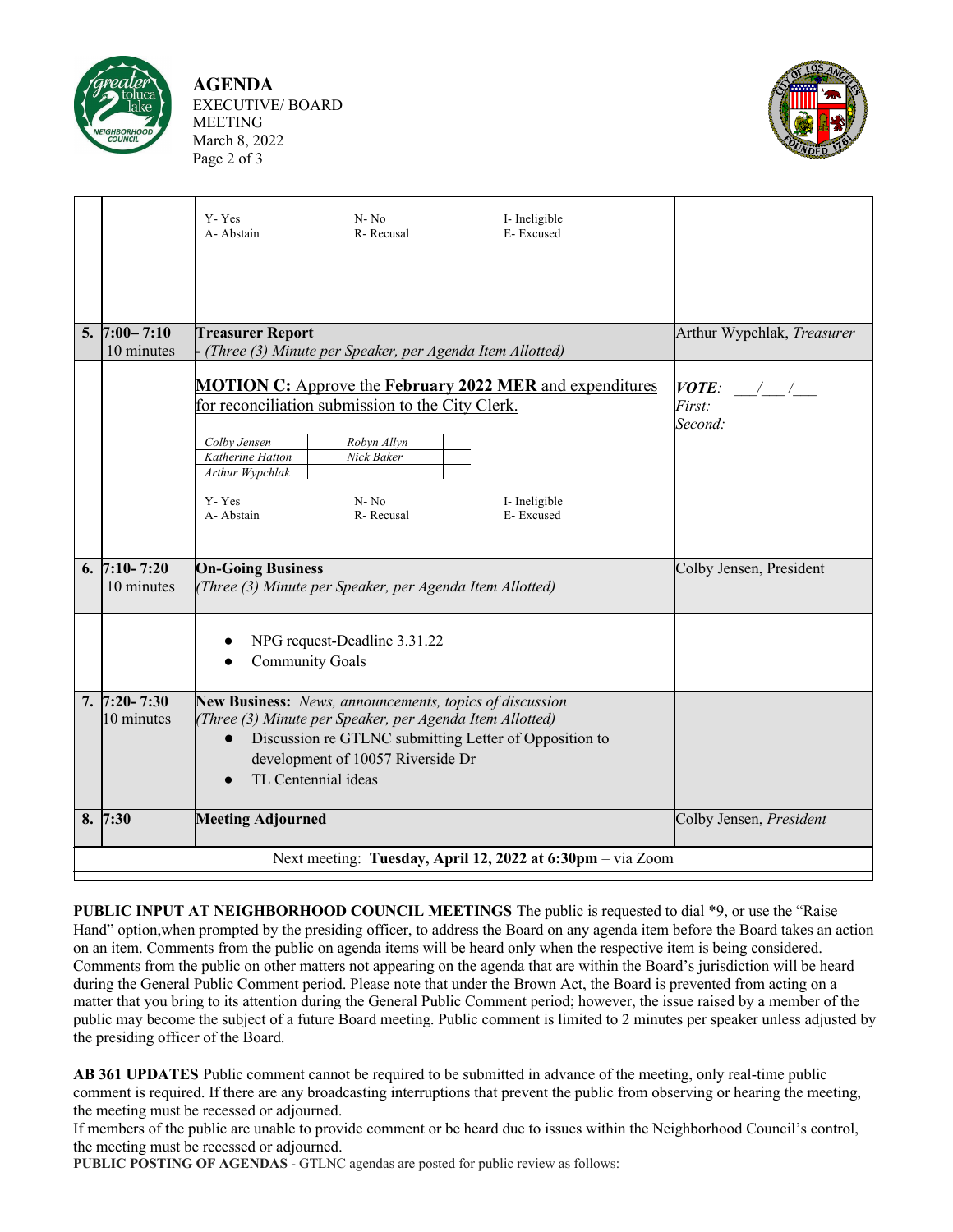

**AGENDA** EXECUTIVE/ BOARD MEETING March 8, 2022 Page 2 of 3



|                                                            |                                | Y-Yes<br>A-Abstain                                                                                                                                                                                                                                     | $N - No$<br>R-Recusal                                                                     | I- Ineligible<br>E-Excused                                                       |                                             |  |  |  |  |
|------------------------------------------------------------|--------------------------------|--------------------------------------------------------------------------------------------------------------------------------------------------------------------------------------------------------------------------------------------------------|-------------------------------------------------------------------------------------------|----------------------------------------------------------------------------------|---------------------------------------------|--|--|--|--|
|                                                            | 5. $7:00 - 7:10$               | <b>Treasurer Report</b>                                                                                                                                                                                                                                |                                                                                           |                                                                                  | Arthur Wypchlak, Treasurer                  |  |  |  |  |
|                                                            | 10 minutes                     | (Three (3) Minute per Speaker, per Agenda Item Allotted)                                                                                                                                                                                               |                                                                                           |                                                                                  |                                             |  |  |  |  |
|                                                            |                                | Colby Jensen<br>Katherine Hatton<br>Arthur Wypchlak<br>Y-Yes                                                                                                                                                                                           | for reconciliation submission to the City Clerk.<br>Robyn Allyn<br>Nick Baker<br>$N - No$ | <b>MOTION C:</b> Approve the February 2022 MER and expenditures<br>I- Ineligible | VOTE:<br>$\frac{1}{2}$<br>First:<br>Second: |  |  |  |  |
|                                                            |                                | A-Abstain                                                                                                                                                                                                                                              | R-Recusal                                                                                 | E-Excused                                                                        |                                             |  |  |  |  |
|                                                            | 6. $7:10 - 7:20$<br>10 minutes | <b>On-Going Business</b><br>(Three (3) Minute per Speaker, per Agenda Item Allotted)                                                                                                                                                                   |                                                                                           |                                                                                  | Colby Jensen, President                     |  |  |  |  |
|                                                            |                                | NPG request-Deadline 3.31.22<br><b>Community Goals</b>                                                                                                                                                                                                 |                                                                                           |                                                                                  |                                             |  |  |  |  |
|                                                            | $7.7:20 - 7:30$<br>10 minutes  | New Business: News, announcements, topics of discussion<br>(Three (3) Minute per Speaker, per Agenda Item Allotted)<br>Discussion re GTLNC submitting Letter of Opposition to<br>$\bullet$<br>development of 10057 Riverside Dr<br>TL Centennial ideas |                                                                                           |                                                                                  |                                             |  |  |  |  |
|                                                            | 8. 7:30                        | <b>Meeting Adjourned</b>                                                                                                                                                                                                                               |                                                                                           |                                                                                  | Colby Jensen, President                     |  |  |  |  |
| Next meeting: Tuesday, April 12, 2022 at 6:30pm - via Zoom |                                |                                                                                                                                                                                                                                                        |                                                                                           |                                                                                  |                                             |  |  |  |  |
|                                                            |                                |                                                                                                                                                                                                                                                        |                                                                                           |                                                                                  |                                             |  |  |  |  |

**PUBLIC INPUT AT NEIGHBORHOOD COUNCIL MEETINGS** The public is requested to dial \*9, or use the "Raise Hand" option,when prompted by the presiding officer, to address the Board on any agenda item before the Board takes an action on an item. Comments from the public on agenda items will be heard only when the respective item is being considered. Comments from the public on other matters not appearing on the agenda that are within the Board's jurisdiction will be heard during the General Public Comment period. Please note that under the Brown Act, the Board is prevented from acting on a matter that you bring to its attention during the General Public Comment period; however, the issue raised by a member of the public may become the subject of a future Board meeting. Public comment is limited to 2 minutes per speaker unless adjusted by the presiding officer of the Board.

**AB 361 UPDATES** Public comment cannot be required to be submitted in advance of the meeting, only real-time public comment is required. If there are any broadcasting interruptions that prevent the public from observing or hearing the meeting, the meeting must be recessed or adjourned.

If members of the public are unable to provide comment or be heard due to issues within the Neighborhood Council's control, the meeting must be recessed or adjourned.

**PUBLIC POSTING OF AGENDAS** - GTLNC agendas are posted for public review as follows: